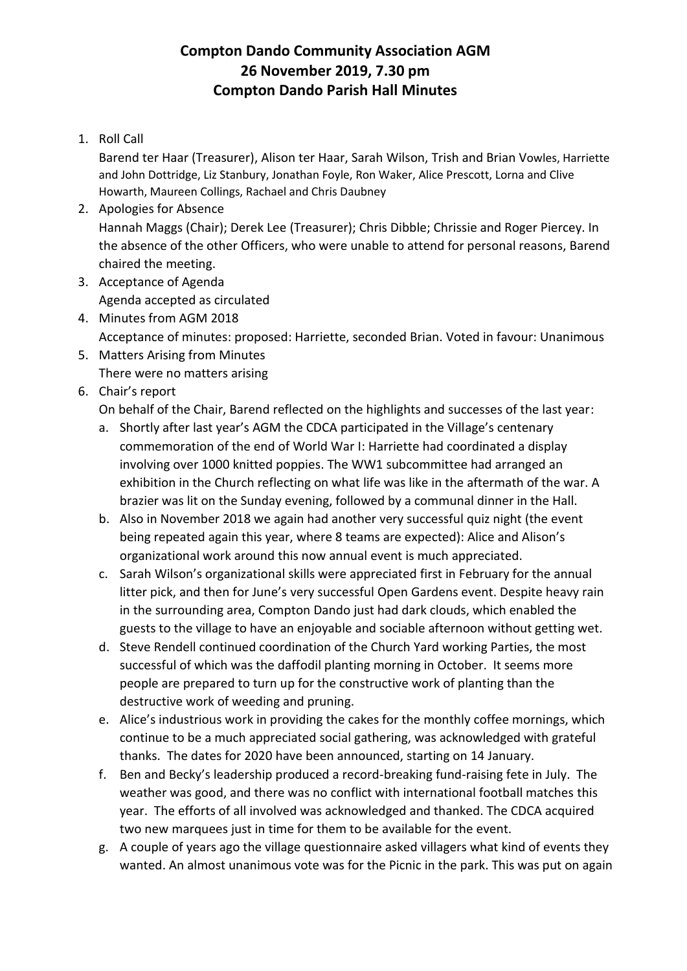## **Compton Dando Community Association AGM 26 November 2019, 7.30 pm Compton Dando Parish Hall Minutes**

1. Roll Call

Barend ter Haar (Treasurer), Alison ter Haar, Sarah Wilson, Trish and Brian Vowles, Harriette and John Dottridge, Liz Stanbury, Jonathan Foyle, Ron Waker, Alice Prescott, Lorna and Clive Howarth, Maureen Collings, Rachael and Chris Daubney

- 2. Apologies for Absence Hannah Maggs (Chair); Derek Lee (Treasurer); Chris Dibble; Chrissie and Roger Piercey. In the absence of the other Officers, who were unable to attend for personal reasons, Barend chaired the meeting.
- 3. Acceptance of Agenda Agenda accepted as circulated
- 4. Minutes from AGM 2018 Acceptance of minutes: proposed: Harriette, seconded Brian. Voted in favour: Unanimous
- 5. Matters Arising from Minutes There were no matters arising
- 6. Chair's report

On behalf of the Chair, Barend reflected on the highlights and successes of the last year:

- a. Shortly after last year's AGM the CDCA participated in the Village's centenary commemoration of the end of World War I: Harriette had coordinated a display involving over 1000 knitted poppies. The WW1 subcommittee had arranged an exhibition in the Church reflecting on what life was like in the aftermath of the war. A brazier was lit on the Sunday evening, followed by a communal dinner in the Hall.
- b. Also in November 2018 we again had another very successful quiz night (the event being repeated again this year, where 8 teams are expected): Alice and Alison's organizational work around this now annual event is much appreciated.
- c. Sarah Wilson's organizational skills were appreciated first in February for the annual litter pick, and then for June's very successful Open Gardens event. Despite heavy rain in the surrounding area, Compton Dando just had dark clouds, which enabled the guests to the village to have an enjoyable and sociable afternoon without getting wet.
- d. Steve Rendell continued coordination of the Church Yard working Parties, the most successful of which was the daffodil planting morning in October. It seems more people are prepared to turn up for the constructive work of planting than the destructive work of weeding and pruning.
- e. Alice's industrious work in providing the cakes for the monthly coffee mornings, which continue to be a much appreciated social gathering, was acknowledged with grateful thanks. The dates for 2020 have been announced, starting on 14 January.
- f. Ben and Becky's leadership produced a record-breaking fund-raising fete in July. The weather was good, and there was no conflict with international football matches this year. The efforts of all involved was acknowledged and thanked. The CDCA acquired two new marquees just in time for them to be available for the event.
- g. A couple of years ago the village questionnaire asked villagers what kind of events they wanted. An almost unanimous vote was for the Picnic in the park. This was put on again